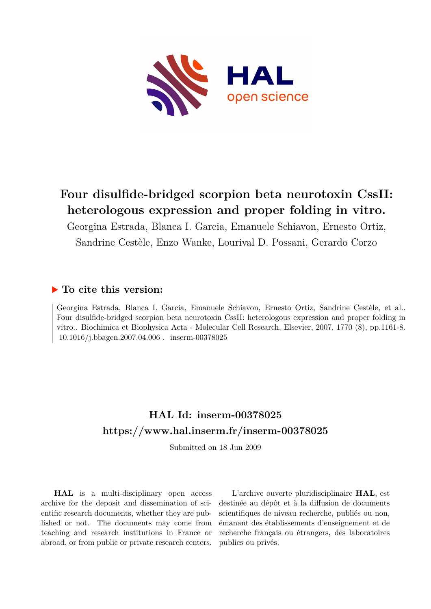

## **Four disulfide-bridged scorpion beta neurotoxin CssII: heterologous expression and proper folding in vitro.**

Georgina Estrada, Blanca I. Garcia, Emanuele Schiavon, Ernesto Ortiz, Sandrine Cestèle, Enzo Wanke, Lourival D. Possani, Gerardo Corzo

### **To cite this version:**

Georgina Estrada, Blanca I. Garcia, Emanuele Schiavon, Ernesto Ortiz, Sandrine Cestèle, et al.. Four disulfide-bridged scorpion beta neurotoxin CssII: heterologous expression and proper folding in vitro.. Biochimica et Biophysica Acta - Molecular Cell Research, Elsevier, 2007, 1770 (8), pp.1161-8. 10.1016/j.bbagen.2007.04.006. inserm-00378025

## **HAL Id: inserm-00378025 <https://www.hal.inserm.fr/inserm-00378025>**

Submitted on 18 Jun 2009

**HAL** is a multi-disciplinary open access archive for the deposit and dissemination of scientific research documents, whether they are published or not. The documents may come from teaching and research institutions in France or abroad, or from public or private research centers.

L'archive ouverte pluridisciplinaire **HAL**, est destinée au dépôt et à la diffusion de documents scientifiques de niveau recherche, publiés ou non, émanant des établissements d'enseignement et de recherche français ou étrangers, des laboratoires publics ou privés.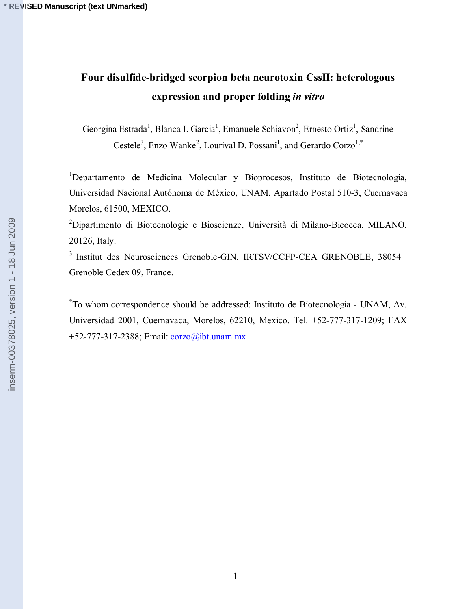## **Four disulfide-bridged scorpion beta neurotoxin CssII: heterologous expression and proper folding** *in vitro*

Georgina Estrada<sup>1</sup>, Blanca I. Garcia<sup>1</sup>, Emanuele Schiavon<sup>2</sup>, Ernesto Ortiz<sup>1</sup>, Sandrine Cestele<sup>3</sup>, Enzo Wanke<sup>2</sup>, Lourival D. Possani<sup>1</sup>, and Gerardo Corzo<sup>1,\*</sup>

1 Departamento de Medicina Molecular y Bioprocesos, Instituto de Biotecnología, Universidad Nacional Autónoma de México, UNAM. Apartado Postal 510-3, Cuernavaca Morelos, 61500, MEXICO.

2 Dipartimento di Biotecnologie e Bioscienze, Università di Milano-Bicocca, MILANO, 20126, Italy.

3 Institut des Neurosciences Grenoble-GIN, IRTSV/CCFP-CEA GRENOBLE, 38054 Grenoble Cedex 09, France.

\* To whom correspondence should be addressed: Instituto de Biotecnología - UNAM, Av. Universidad 2001, Cuernavaca, Morelos, 62210, Mexico. Tel. +52-777-317-1209; FAX +52-777-317-2388; Email: corzo@ibt.unam.mx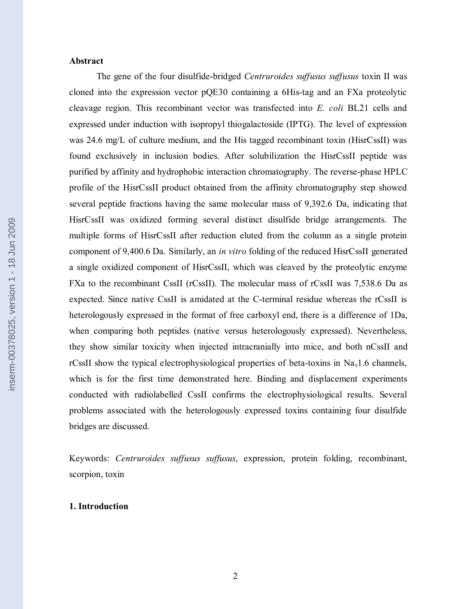#### **Abstract**

 The gene of the four disulfide-bridged *Centruroides suffusus suffusus* toxin II was cloned into the expression vector pQE30 containing a 6His-tag and an FXa proteolytic cleavage region. This recombinant vector was transfected into *E. coli* BL21 cells and expressed under induction with isopropyl thiogalactoside (IPTG). The level of expression was 24.6 mg/L of culture medium, and the His tagged recombinant toxin (HisrCssII) was found exclusively in inclusion bodies. After solubilization the HisrCssII peptide was purified by affinity and hydrophobic interaction chromatography. The reverse-phase HPLC profile of the HisrCssII product obtained from the affinity chromatography step showed several peptide fractions having the same molecular mass of 9,392.6 Da, indicating that HisrCssII was oxidized forming several distinct disulfide bridge arrangements. The multiple forms of HisrCssII after reduction eluted from the column as a single protein component of 9,400.6 Da. Similarly, an *in vitro* folding of the reduced HisrCssII generated a single oxidized component of HisrCssII, which was cleaved by the proteolytic enzyme FXa to the recombinant CssII (rCssII). The molecular mass of rCssII was 7,538.6 Da as expected. Since native CssII is amidated at the C-terminal residue whereas the rCssII is heterologously expressed in the format of free carboxyl end, there is a difference of 1Da, when comparing both peptides (native versus heterologously expressed). Nevertheless, they show similar toxicity when injected intracranially into mice, and both nCssII and rCssII show the typical electrophysiological properties of beta-toxins in  $Na<sub>v</sub>1.6$  channels, which is for the first time demonstrated here. Binding and displacement experiments conducted with radiolabelled CssII confirms the electrophysiological results. Several problems associated with the heterologously expressed toxins containing four disulfide bridges are discussed.

Keywords: *Centruroides suffusus suffusus*, expression, protein folding, recombinant, scorpion, toxin

#### **1. Introduction**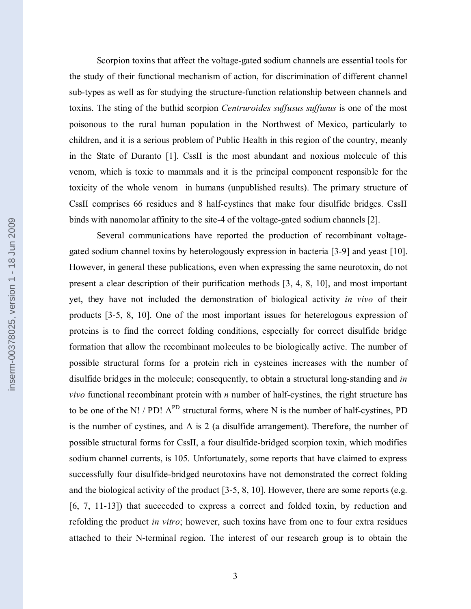Scorpion toxins that affect the voltage-gated sodium channels are essential tools for the study of their functional mechanism of action, for discrimination of different channel sub-types as well as for studying the structure-function relationship between channels and toxins. The sting of the buthid scorpion *Centruroides suffusus suffusus* is one of the most poisonous to the rural human population in the Northwest of Mexico, particularly to children, and it is a serious problem of Public Health in this region of the country, meanly in the State of Duranto [1]. CssII is the most abundant and noxious molecule of this venom, which is toxic to mammals and it is the principal component responsible for the toxicity of the whole venom in humans (unpublished results). The primary structure of CssII comprises 66 residues and 8 half-cystines that make four disulfide bridges. CssII binds with nanomolar affinity to the site-4 of the voltage-gated sodium channels [2].

Several communications have reported the production of recombinant voltagegated sodium channel toxins by heterologously expression in bacteria [3-9] and yeast [10]. However, in general these publications, even when expressing the same neurotoxin, do not present a clear description of their purification methods [3, 4, 8, 10], and most important yet, they have not included the demonstration of biological activity *in vivo* of their products [3-5, 8, 10]. One of the most important issues for heterelogous expression of proteins is to find the correct folding conditions, especially for correct disulfide bridge formation that allow the recombinant molecules to be biologically active. The number of possible structural forms for a protein rich in cysteines increases with the number of disulfide bridges in the molecule; consequently, to obtain a structural long-standing and *in vivo* functional recombinant protein with *n* number of half-cystines, the right structure has to be one of the N! / PD!  $A^{PD}$  structural forms, where N is the number of half-cystines, PD is the number of cystines, and A is 2 (a disulfide arrangement). Therefore, the number of possible structural forms for CssII, a four disulfide-bridged scorpion toxin, which modifies sodium channel currents, is 105. Unfortunately, some reports that have claimed to express successfully four disulfide-bridged neurotoxins have not demonstrated the correct folding and the biological activity of the product [3-5, 8, 10]. However, there are some reports (e.g. [6, 7, 11-13]) that succeeded to express a correct and folded toxin, by reduction and refolding the product *in vitro*; however, such toxins have from one to four extra residues attached to their N-terminal region. The interest of our research group is to obtain the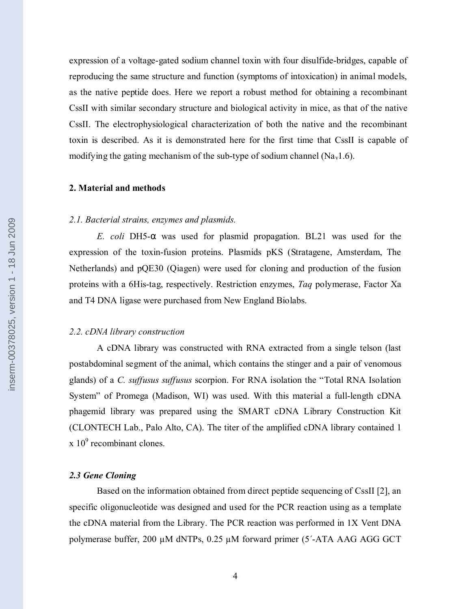expression of a voltage-gated sodium channel toxin with four disulfide-bridges, capable of reproducing the same structure and function (symptoms of intoxication) in animal models, as the native peptide does. Here we report a robust method for obtaining a recombinant CssII with similar secondary structure and biological activity in mice, as that of the native CssII. The electrophysiological characterization of both the native and the recombinant toxin is described. As it is demonstrated here for the first time that CssII is capable of modifying the gating mechanism of the sub-type of sodium channel ( $Na<sub>v</sub>1.6$ ).

#### **2. Material and methods**

#### *2.1. Bacterial strains, enzymes and plasmids.*

*E. coli* DH5-α was used for plasmid propagation. BL21 was used for the expression of the toxin-fusion proteins. Plasmids pKS (Stratagene, Amsterdam, The Netherlands) and pQE30 (Qiagen) were used for cloning and production of the fusion proteins with a 6His-tag, respectively. Restriction enzymes, *Taq* polymerase, Factor Xa and T4 DNA ligase were purchased from New England Biolabs.

#### *2.2. cDNA library construction*

A cDNA library was constructed with RNA extracted from a single telson (last postabdominal segment of the animal, which contains the stinger and a pair of venomous glands) of a *C. suffusus suffusus* scorpion. For RNA isolation the "Total RNA Isolation System" of Promega (Madison, WI) was used. With this material a full-length cDNA phagemid library was prepared using the SMART cDNA Library Construction Kit (CLONTECH Lab., Palo Alto, CA). The titer of the amplified cDNA library contained 1  $\ge 10^9$  recombinant clones.

#### *2.3 Gene Cloning*

Based on the information obtained from direct peptide sequencing of CssII [2], an specific oligonucleotide was designed and used for the PCR reaction using as a template the cDNA material from the Library. The PCR reaction was performed in 1X Vent DNA polymerase buffer, 200 µM dNTPs, 0.25 µM forward primer (5´-ATA AAG AGG GCT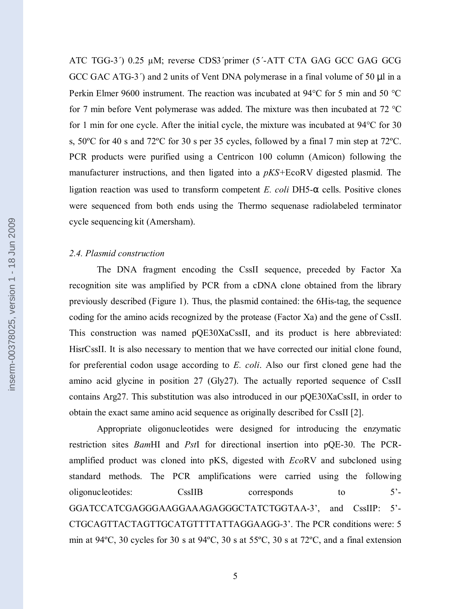ATC TGG-3<sup>'</sup>) 0.25 µM; reverse CDS3'primer (5'-ATT CTA GAG GCC GAG GCG GCC GAC ATG-3 $^{\prime}$ ) and 2 units of Vent DNA polymerase in a final volume of 50  $\mu$ l in a Perkin Elmer 9600 instrument. The reaction was incubated at 94°C for 5 min and 50 °C for 7 min before Vent polymerase was added. The mixture was then incubated at 72 °C for 1 min for one cycle. After the initial cycle, the mixture was incubated at 94°C for 30 s, 50ºC for 40 s and 72ºC for 30 s per 35 cycles, followed by a final 7 min step at 72ºC. PCR products were purified using a Centricon 100 column (Amicon) following the manufacturer instructions, and then ligated into a *pKS+*EcoRV digested plasmid. The ligation reaction was used to transform competent *E. coli* DH5-α cells. Positive clones were sequenced from both ends using the Thermo sequenase radiolabeled terminator cycle sequencing kit (Amersham).

#### *2.4. Plasmid construction*

The DNA fragment encoding the CssII sequence, preceded by Factor Xa recognition site was amplified by PCR from a cDNA clone obtained from the library previously described (Figure 1). Thus, the plasmid contained: the 6His-tag, the sequence coding for the amino acids recognized by the protease (Factor Xa) and the gene of CssII. This construction was named pQE30XaCssII, and its product is here abbreviated: HisrCssII. It is also necessary to mention that we have corrected our initial clone found, for preferential codon usage according to *E. coli*. Also our first cloned gene had the amino acid glycine in position 27 (Gly27). The actually reported sequence of CssII contains Arg27. This substitution was also introduced in our pQE30XaCssII, in order to obtain the exact same amino acid sequence as originally described for CssII [2].

Appropriate oligonucleotides were designed for introducing the enzymatic restriction sites *Bam*HI and *Pst*I for directional insertion into pQE-30. The PCRamplified product was cloned into pKS, digested with *Eco*RV and subcloned using standard methods. The PCR amplifications were carried using the following oligonucleotides: CssIIB corresponds to 5'- GGATCCATCGAGGGAAGGAAAGAGGGCTATCTGGTAA-3', and CssIIP: 5'- CTGCAGTTACTAGTTGCATGTTTTATTAGGAAGG-3'. The PCR conditions were: 5 min at 94ºC, 30 cycles for 30 s at 94ºC, 30 s at 55ºC, 30 s at 72ºC, and a final extension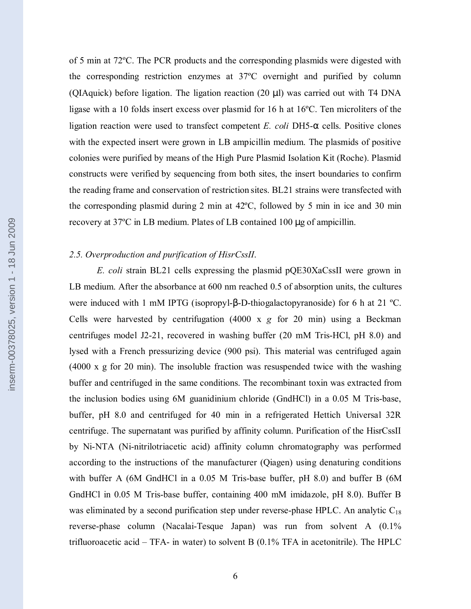of 5 min at 72ºC. The PCR products and the corresponding plasmids were digested with the corresponding restriction enzymes at 37ºC overnight and purified by column (QIAquick) before ligation. The ligation reaction  $(20 \mu l)$  was carried out with T4 DNA ligase with a 10 folds insert excess over plasmid for 16 h at 16ºC. Ten microliters of the ligation reaction were used to transfect competent *E. coli* DH5-α cells. Positive clones with the expected insert were grown in LB ampicillin medium. The plasmids of positive colonies were purified by means of the High Pure Plasmid Isolation Kit (Roche). Plasmid constructs were verified by sequencing from both sites, the insert boundaries to confirm the reading frame and conservation of restriction sites. BL21 strains were transfected with the corresponding plasmid during 2 min at 42ºC, followed by 5 min in ice and 30 min recovery at 37ºC in LB medium. Plates of LB contained 100 µg of ampicillin.

#### *2.5. Overproduction and purification of HisrCssII*.

*E. coli* strain BL21 cells expressing the plasmid pQE30XaCssII were grown in LB medium. After the absorbance at 600 nm reached 0.5 of absorption units, the cultures were induced with 1 mM IPTG (isopropyl-β-D-thiogalactopyranoside) for 6 h at 21 ºC. Cells were harvested by centrifugation (4000 x *g* for 20 min) using a Beckman centrifuges model J2-21, recovered in washing buffer (20 mM Tris-HCl, pH 8.0) and lysed with a French pressurizing device (900 psi). This material was centrifuged again (4000 x g for 20 min). The insoluble fraction was resuspended twice with the washing buffer and centrifuged in the same conditions. The recombinant toxin was extracted from the inclusion bodies using 6M guanidinium chloride (GndHCl) in a 0.05 M Tris-base, buffer, pH 8.0 and centrifuged for 40 min in a refrigerated Hettich Universal 32R centrifuge. The supernatant was purified by affinity column. Purification of the HisrCssII by Ni-NTA (Ni-nitrilotriacetic acid) affinity column chromatography was performed according to the instructions of the manufacturer (Qiagen) using denaturing conditions with buffer A (6M GndHCl in a 0.05 M Tris-base buffer, pH 8.0) and buffer B (6M GndHCl in 0.05 M Tris-base buffer, containing 400 mM imidazole, pH 8.0). Buffer B was eliminated by a second purification step under reverse-phase HPLC. An analytic  $C_{18}$ reverse-phase column (Nacalai-Tesque Japan) was run from solvent A (0.1% trifluoroacetic acid – TFA- in water) to solvent B  $(0.1\%$  TFA in acetonitrile). The HPLC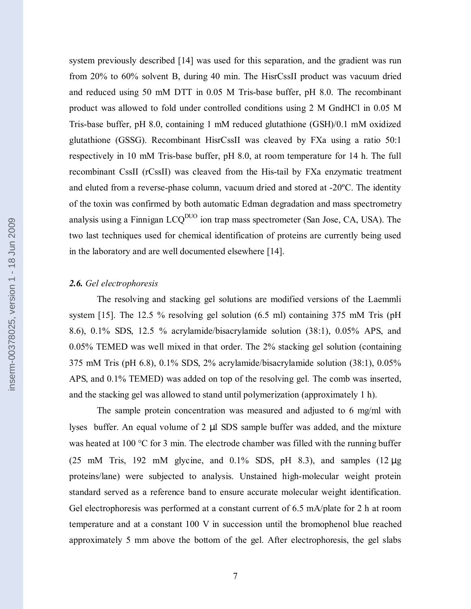system previously described [14] was used for this separation, and the gradient was run from 20% to 60% solvent B, during 40 min. The HisrCssII product was vacuum dried and reduced using 50 mM DTT in 0.05 M Tris-base buffer, pH 8.0. The recombinant product was allowed to fold under controlled conditions using 2 M GndHCl in 0.05 M Tris-base buffer, pH 8.0, containing 1 mM reduced glutathione (GSH)/0.1 mM oxidized glutathione (GSSG). Recombinant HisrCssII was cleaved by FXa using a ratio 50:1 respectively in 10 mM Tris-base buffer, pH 8.0, at room temperature for 14 h. The full recombinant CssII (rCssII) was cleaved from the His-tail by FXa enzymatic treatment and eluted from a reverse-phase column, vacuum dried and stored at -20ºC. The identity of the toxin was confirmed by both automatic Edman degradation and mass spectrometry analysis using a Finnigan  $LCQ<sup>DUO</sup>$  ion trap mass spectrometer (San Jose, CA, USA). The two last techniques used for chemical identification of proteins are currently being used in the laboratory and are well documented elsewhere [14].

#### *2.6. Gel electrophoresis*

The resolving and stacking gel solutions are modified versions of the Laemmli system [15]. The 12.5 % resolving gel solution (6.5 ml) containing 375 mM Tris (pH 8.6), 0.1% SDS, 12.5 % acrylamide/bisacrylamide solution (38:1), 0.05% APS, and 0.05% TEMED was well mixed in that order. The 2% stacking gel solution (containing 375 mM Tris (pH 6.8), 0.1% SDS, 2% acrylamide/bisacrylamide solution (38:1), 0.05% APS, and 0.1% TEMED) was added on top of the resolving gel. The comb was inserted, and the stacking gel was allowed to stand until polymerization (approximately 1 h).

The sample protein concentration was measured and adjusted to 6 mg/ml with lyses buffer. An equal volume of 2 µl SDS sample buffer was added, and the mixture was heated at 100 °C for 3 min. The electrode chamber was filled with the running buffer (25 mM Tris, 192 mM glycine, and  $0.1\%$  SDS, pH 8.3), and samples (12  $\mu$ g proteins/lane) were subjected to analysis. Unstained high-molecular weight protein standard served as a reference band to ensure accurate molecular weight identification. Gel electrophoresis was performed at a constant current of 6.5 mA/plate for 2 h at room temperature and at a constant 100 V in succession until the bromophenol blue reached approximately 5 mm above the bottom of the gel. After electrophoresis, the gel slabs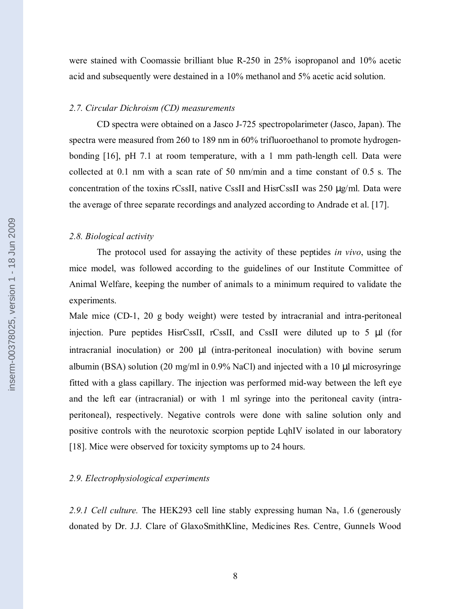were stained with Coomassie brilliant blue R-250 in 25% isopropanol and 10% acetic acid and subsequently were destained in a 10% methanol and 5% acetic acid solution.

#### *2.7. Circular Dichroism (CD) measurements*

CD spectra were obtained on a Jasco J-725 spectropolarimeter (Jasco, Japan). The spectra were measured from 260 to 189 nm in 60% trifluoroethanol to promote hydrogenbonding [16], pH 7.1 at room temperature, with a 1 mm path-length cell. Data were collected at 0.1 nm with a scan rate of 50 nm/min and a time constant of 0.5 s. The concentration of the toxins rCssII, native CssII and HisrCssII was  $250 \mu g/ml$ . Data were the average of three separate recordings and analyzed according to Andrade et al. [17].

#### *2.8. Biological activity*

The protocol used for assaying the activity of these peptides *in vivo*, using the mice model, was followed according to the guidelines of our Institute Committee of Animal Welfare, keeping the number of animals to a minimum required to validate the experiments.

Male mice (CD-1, 20 g body weight) were tested by intracranial and intra-peritoneal injection. Pure peptides HisrCssII, rCssII, and CssII were diluted up to 5 µl (for intracranial inoculation) or 200 µl (intra-peritoneal inoculation) with bovine serum albumin (BSA) solution (20 mg/ml in 0.9% NaCl) and injected with a 10  $\mu$ l microsyringe fitted with a glass capillary. The injection was performed mid-way between the left eye and the left ear (intracranial) or with 1 ml syringe into the peritoneal cavity (intraperitoneal), respectively. Negative controls were done with saline solution only and positive controls with the neurotoxic scorpion peptide LqhIV isolated in our laboratory [18]. Mice were observed for toxicity symptoms up to 24 hours.

#### *2.9. Electrophysiological experiments*

2.9.1 Cell culture. The HEK293 cell line stably expressing human  $Na<sub>v</sub>$  1.6 (generously donated by Dr. J.J. Clare of GlaxoSmithKline, Medicines Res. Centre, Gunnels Wood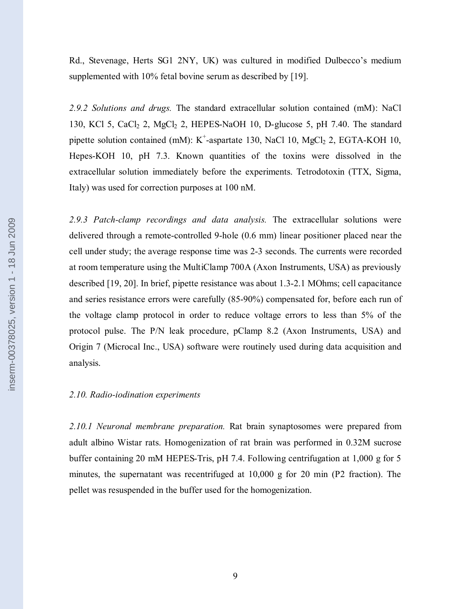Rd., Stevenage, Herts SG1 2NY, UK) was cultured in modified Dulbecco's medium supplemented with 10% fetal bovine serum as described by [19].

*2.9.2 Solutions and drugs.* The standard extracellular solution contained (mM): NaCl 130, KCl 5, CaCl<sub>2</sub> 2, MgCl<sub>2</sub> 2, HEPES-NaOH 10, D-glucose 5, pH 7.40. The standard pipette solution contained (mM):  $K^+$ -aspartate 130, NaCl 10, MgCl<sub>2</sub> 2, EGTA-KOH 10, Hepes-KOH 10, pH 7.3. Known quantities of the toxins were dissolved in the extracellular solution immediately before the experiments. Tetrodotoxin (TTX, Sigma, Italy) was used for correction purposes at 100 nM.

*2.9.3 Patch-clamp recordings and data analysis.* The extracellular solutions were delivered through a remote-controlled 9-hole (0.6 mm) linear positioner placed near the cell under study; the average response time was 2-3 seconds. The currents were recorded at room temperature using the MultiClamp 700A (Axon Instruments, USA) as previously described [19, 20]. In brief, pipette resistance was about 1.3-2.1 MOhms; cell capacitance and series resistance errors were carefully (85-90%) compensated for, before each run of the voltage clamp protocol in order to reduce voltage errors to less than 5% of the protocol pulse. The P/N leak procedure, pClamp 8.2 (Axon Instruments, USA) and Origin 7 (Microcal Inc., USA) software were routinely used during data acquisition and analysis.

#### *2.10. Radio-iodination experiments*

*2.10.1 Neuronal membrane preparation.* Rat brain synaptosomes were prepared from adult albino Wistar rats. Homogenization of rat brain was performed in 0.32M sucrose buffer containing 20 mM HEPES-Tris, pH 7.4. Following centrifugation at 1,000 g for 5 minutes, the supernatant was recentrifuged at 10,000 g for 20 min (P2 fraction). The pellet was resuspended in the buffer used for the homogenization.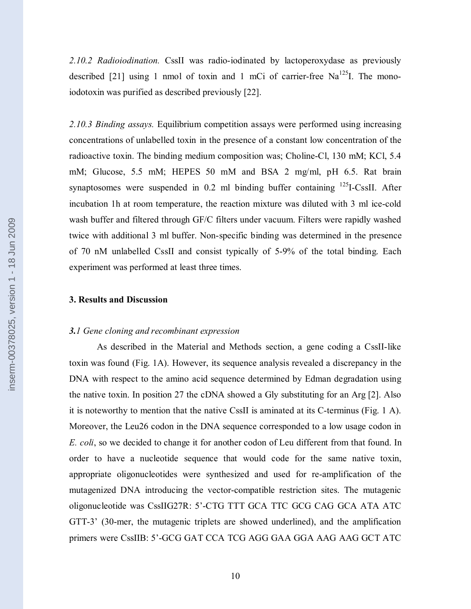*2.10.2 Radioiodination.* CssII was radio-iodinated by lactoperoxydase as previously described [21] using 1 nmol of toxin and 1 mCi of carrier-free  $Na^{125}I$ . The monoiodotoxin was purified as described previously [22].

*2.10.3 Binding assays.* Equilibrium competition assays were performed using increasing concentrations of unlabelled toxin in the presence of a constant low concentration of the radioactive toxin. The binding medium composition was; Choline-Cl, 130 mM; KCl, 5.4 mM; Glucose, 5.5 mM; HEPES 50 mM and BSA 2 mg/ml, pH 6.5. Rat brain synaptosomes were suspended in 0.2 ml binding buffer containing <sup>125</sup>I-CssII. After incubation 1h at room temperature, the reaction mixture was diluted with 3 ml ice-cold wash buffer and filtered through GF/C filters under vacuum. Filters were rapidly washed twice with additional 3 ml buffer. Non-specific binding was determined in the presence of 70 nM unlabelled CssII and consist typically of 5-9% of the total binding. Each experiment was performed at least three times.

#### **3. Results and Discussion**

#### *3.1 Gene cloning and recombinant expression*

As described in the Material and Methods section, a gene coding a CssII-like toxin was found (Fig. 1A). However, its sequence analysis revealed a discrepancy in the DNA with respect to the amino acid sequence determined by Edman degradation using the native toxin. In position 27 the cDNA showed a Gly substituting for an Arg [2]. Also it is noteworthy to mention that the native CssII is aminated at its C-terminus (Fig. 1 A). Moreover, the Leu26 codon in the DNA sequence corresponded to a low usage codon in *E. coli*, so we decided to change it for another codon of Leu different from that found. In order to have a nucleotide sequence that would code for the same native toxin, appropriate oligonucleotides were synthesized and used for re-amplification of the mutagenized DNA introducing the vector-compatible restriction sites. The mutagenic oligonucleotide was CssIIG27R: 5'-CTG TTT GCA TTC GCG CAG GCA ATA ATC GTT-3' (30-mer, the mutagenic triplets are showed underlined), and the amplification primers were CssIIB: 5'-GCG GAT CCA TCG AGG GAA GGA AAG AAG GCT ATC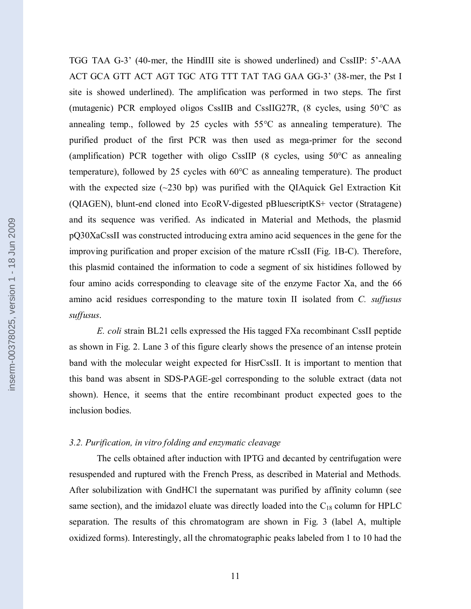TGG TAA G-3' (40-mer, the HindIII site is showed underlined) and CssIIP: 5'-AAA ACT GCA GTT ACT AGT TGC ATG TTT TAT TAG GAA GG-3' (38-mer, the Pst I site is showed underlined). The amplification was performed in two steps. The first (mutagenic) PCR employed oligos CssIIB and CssIIG27R, (8 cycles, using 50°C as annealing temp., followed by 25 cycles with 55°C as annealing temperature). The purified product of the first PCR was then used as mega-primer for the second (amplification) PCR together with oligo CssIIP (8 cycles, using 50°C as annealing temperature), followed by 25 cycles with 60°C as annealing temperature). The product with the expected size  $(\sim 230 \text{ bp})$  was purified with the QIAquick Gel Extraction Kit (QIAGEN), blunt-end cloned into EcoRV-digested pBluescriptKS+ vector (Stratagene) and its sequence was verified. As indicated in Material and Methods, the plasmid pQ30XaCssII was constructed introducing extra amino acid sequences in the gene for the improving purification and proper excision of the mature rCssII (Fig. 1B-C). Therefore, this plasmid contained the information to code a segment of six histidines followed by four amino acids corresponding to cleavage site of the enzyme Factor Xa, and the 66 amino acid residues corresponding to the mature toxin II isolated from *C. suffusus suffusus*.

*E. coli* strain BL21 cells expressed the His tagged FXa recombinant CssII peptide as shown in Fig. 2. Lane 3 of this figure clearly shows the presence of an intense protein band with the molecular weight expected for HisrCssII. It is important to mention that this band was absent in SDS-PAGE-gel corresponding to the soluble extract (data not shown). Hence, it seems that the entire recombinant product expected goes to the inclusion bodies.

#### *3.2. Purification, in vitro folding and enzymatic cleavage*

The cells obtained after induction with IPTG and decanted by centrifugation were resuspended and ruptured with the French Press, as described in Material and Methods. After solubilization with GndHCl the supernatant was purified by affinity column (see same section), and the imidazol eluate was directly loaded into the  $C_{18}$  column for HPLC separation. The results of this chromatogram are shown in Fig. 3 (label A, multiple oxidized forms). Interestingly, all the chromatographic peaks labeled from 1 to 10 had the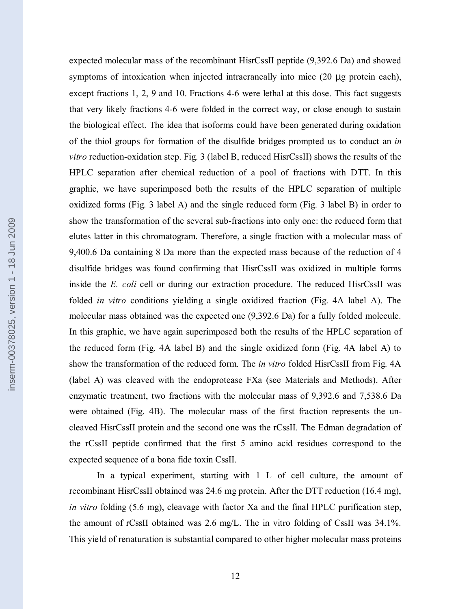nserm-00378025, version 1 - 18 Jun 2009 inserm-00378025, version 1 - 18 Jun 2009

expected molecular mass of the recombinant HisrCssII peptide (9,392.6 Da) and showed symptoms of intoxication when injected intracraneally into mice (20 µg protein each), except fractions 1, 2, 9 and 10. Fractions 4-6 were lethal at this dose. This fact suggests that very likely fractions 4-6 were folded in the correct way, or close enough to sustain the biological effect. The idea that isoforms could have been generated during oxidation of the thiol groups for formation of the disulfide bridges prompted us to conduct an *in vitro* reduction-oxidation step. Fig. 3 (label B, reduced HisrCssII) shows the results of the HPLC separation after chemical reduction of a pool of fractions with DTT. In this graphic, we have superimposed both the results of the HPLC separation of multiple oxidized forms (Fig. 3 label A) and the single reduced form (Fig. 3 label B) in order to show the transformation of the several sub-fractions into only one: the reduced form that elutes latter in this chromatogram. Therefore, a single fraction with a molecular mass of 9,400.6 Da containing 8 Da more than the expected mass because of the reduction of 4 disulfide bridges was found confirming that HisrCssII was oxidized in multiple forms inside the *E. coli* cell or during our extraction procedure. The reduced HisrCssII was folded *in vitro* conditions yielding a single oxidized fraction (Fig. 4A label A). The molecular mass obtained was the expected one (9,392.6 Da) for a fully folded molecule. In this graphic, we have again superimposed both the results of the HPLC separation of the reduced form (Fig. 4A label B) and the single oxidized form (Fig. 4A label A) to show the transformation of the reduced form. The *in vitro* folded HisrCssII from Fig. 4A (label A) was cleaved with the endoprotease FXa (see Materials and Methods). After enzymatic treatment, two fractions with the molecular mass of 9,392.6 and 7,538.6 Da were obtained (Fig. 4B). The molecular mass of the first fraction represents the uncleaved HisrCssII protein and the second one was the rCssII. The Edman degradation of the rCssII peptide confirmed that the first 5 amino acid residues correspond to the expected sequence of a bona fide toxin CssII.

In a typical experiment, starting with 1 L of cell culture, the amount of recombinant HisrCssII obtained was 24.6 mg protein. After the DTT reduction (16.4 mg), *in vitro* folding (5.6 mg), cleavage with factor Xa and the final HPLC purification step, the amount of rCssII obtained was 2.6 mg/L. The in vitro folding of CssII was 34.1%. This yield of renaturation is substantial compared to other higher molecular mass proteins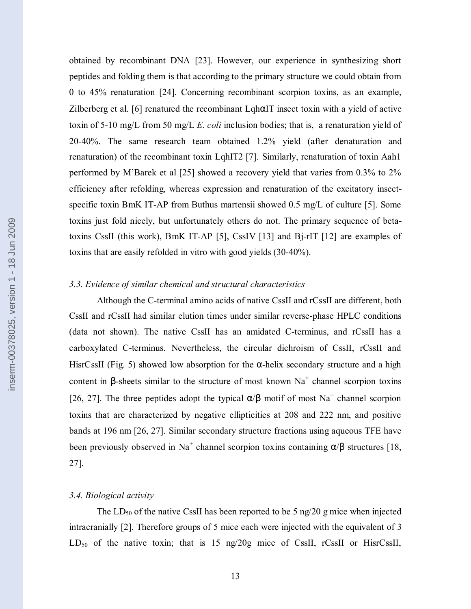obtained by recombinant DNA [23]. However, our experience in synthesizing short peptides and folding them is that according to the primary structure we could obtain from 0 to 45% renaturation [24]. Concerning recombinant scorpion toxins, as an example, Zilberberg et al. [6] renatured the recombinant LqhαIT insect toxin with a yield of active toxin of 5-10 mg/L from 50 mg/L *E. coli* inclusion bodies; that is, a renaturation yield of 20-40%. The same research team obtained 1.2% yield (after denaturation and renaturation) of the recombinant toxin LqhIT2 [7]. Similarly, renaturation of toxin Aah1 performed by M'Barek et al [25] showed a recovery yield that varies from 0.3% to 2% efficiency after refolding, whereas expression and renaturation of the excitatory insectspecific toxin BmK IT-AP from Buthus martensii showed 0.5 mg/L of culture [5]. Some toxins just fold nicely, but unfortunately others do not. The primary sequence of betatoxins CssII (this work), BmK IT-AP [5], CssIV [13] and Bj-rIT [12] are examples of toxins that are easily refolded in vitro with good yields (30-40%).

#### *3.3. Evidence of similar chemical and structural characteristics*

Although the C-terminal amino acids of native CssII and rCssII are different, both CssII and rCssII had similar elution times under similar reverse-phase HPLC conditions (data not shown). The native CssII has an amidated C-terminus, and rCssII has a carboxylated C-terminus. Nevertheless, the circular dichroism of CssII, rCssII and HisrCssII (Fig. 5) showed low absorption for the  $\alpha$ -helix secondary structure and a high content in  $\beta$ -sheets similar to the structure of most known Na<sup>+</sup> channel scorpion toxins [26, 27]. The three peptides adopt the typical  $\alpha/\beta$  motif of most Na<sup>+</sup> channel scorpion toxins that are characterized by negative ellipticities at 208 and 222 nm, and positive bands at 196 nm [26, 27]. Similar secondary structure fractions using aqueous TFE have been previously observed in Na<sup>+</sup> channel scorpion toxins containing  $\alpha/\beta$  structures [18, 27].

#### *3.4. Biological activity*

The LD<sub>50</sub> of the native CssII has been reported to be 5 ng/20 g mice when injected intracranially [2]. Therefore groups of 5 mice each were injected with the equivalent of 3  $LD_{50}$  of the native toxin; that is 15 ng/20g mice of CssII, rCssII or HisrCssII,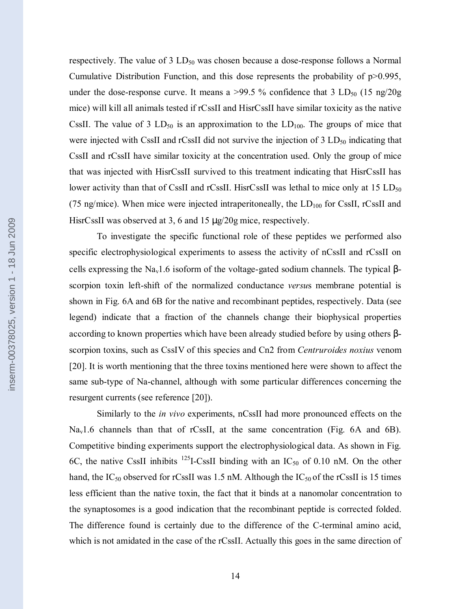respectively. The value of  $3 L D_{50}$  was chosen because a dose-response follows a Normal Cumulative Distribution Function, and this dose represents the probability of p>0.995, under the dose-response curve. It means a >99.5 % confidence that  $3 L D_{50}$  (15 ng/20g) mice) will kill all animals tested if rCssII and HisrCssII have similar toxicity as the native CssII. The value of 3  $LD_{50}$  is an approximation to the  $LD_{100}$ . The groups of mice that were injected with CssII and rCssII did not survive the injection of 3 LD<sub>50</sub> indicating that CssII and rCssII have similar toxicity at the concentration used. Only the group of mice that was injected with HisrCssII survived to this treatment indicating that HisrCssII has lower activity than that of CssII and rCssII. HisrCssII was lethal to mice only at  $15 \text{ LD}_{50}$ (75 ng/mice). When mice were injected intraperitoneally, the  $LD_{100}$  for CssII, rCssII and HisrCssII was observed at 3, 6 and 15  $\mu$ g/20g mice, respectively.

To investigate the specific functional role of these peptides we performed also specific electrophysiological experiments to assess the activity of nCssII and rCssII on cells expressing the Na<sub>v</sub>1.6 isoform of the voltage-gated sodium channels. The typical  $\beta$ scorpion toxin left-shift of the normalized conductance *versu*s membrane potential is shown in Fig. 6A and 6B for the native and recombinant peptides, respectively. Data (see legend) indicate that a fraction of the channels change their biophysical properties according to known properties which have been already studied before by using others  $β$ scorpion toxins, such as CssIV of this species and Cn2 from *Centruroides noxius* venom [20]. It is worth mentioning that the three toxins mentioned here were shown to affect the same sub-type of Na-channel, although with some particular differences concerning the resurgent currents (see reference [20]).

Similarly to the *in vivo* experiments, nCssII had more pronounced effects on the  $Na<sub>v</sub>1.6$  channels than that of rCssII, at the same concentration (Fig. 6A and 6B). Competitive binding experiments support the electrophysiological data. As shown in Fig. 6C, the native CssII inhibits  $^{125}$ I-CssII binding with an IC<sub>50</sub> of 0.10 nM. On the other hand, the  $IC_{50}$  observed for rCssII was 1.5 nM. Although the  $IC_{50}$  of the rCssII is 15 times less efficient than the native toxin, the fact that it binds at a nanomolar concentration to the synaptosomes is a good indication that the recombinant peptide is corrected folded. The difference found is certainly due to the difference of the C-terminal amino acid, which is not amidated in the case of the rCssII. Actually this goes in the same direction of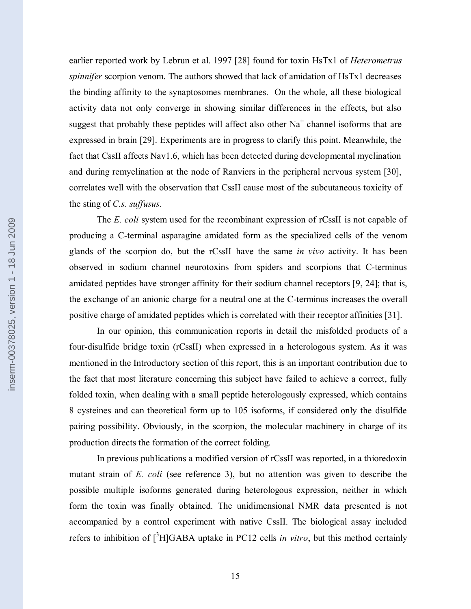earlier reported work by Lebrun et al. 1997 [28] found for toxin HsTx1 of *Heterometrus spinnifer* scorpion venom. The authors showed that lack of amidation of HsTx1 decreases the binding affinity to the synaptosomes membranes. On the whole, all these biological activity data not only converge in showing similar differences in the effects, but also suggest that probably these peptides will affect also other  $Na<sup>+</sup>$  channel isoforms that are expressed in brain [29]. Experiments are in progress to clarify this point. Meanwhile, the fact that CssII affects Nav1.6, which has been detected during developmental myelination and during remyelination at the node of Ranviers in the peripheral nervous system [30], correlates well with the observation that CssII cause most of the subcutaneous toxicity of the sting of *C.s. suffusus*.

The *E. coli* system used for the recombinant expression of rCssII is not capable of producing a C-terminal asparagine amidated form as the specialized cells of the venom glands of the scorpion do, but the rCssII have the same *in vivo* activity. It has been observed in sodium channel neurotoxins from spiders and scorpions that C-terminus amidated peptides have stronger affinity for their sodium channel receptors [9, 24]; that is, the exchange of an anionic charge for a neutral one at the C-terminus increases the overall positive charge of amidated peptides which is correlated with their receptor affinities [31].

In our opinion, this communication reports in detail the misfolded products of a four-disulfide bridge toxin (rCssII) when expressed in a heterologous system. As it was mentioned in the Introductory section of this report, this is an important contribution due to the fact that most literature concerning this subject have failed to achieve a correct, fully folded toxin, when dealing with a small peptide heterologously expressed, which contains 8 cysteines and can theoretical form up to 105 isoforms, if considered only the disulfide pairing possibility. Obviously, in the scorpion, the molecular machinery in charge of its production directs the formation of the correct folding.

In previous publications a modified version of rCssII was reported, in a thioredoxin mutant strain of *E. coli* (see reference 3), but no attention was given to describe the possible multiple isoforms generated during heterologous expression, neither in which form the toxin was finally obtained. The unidimensional NMR data presented is not accompanied by a control experiment with native CssII. The biological assay included refers to inhibition of  $[{}^{3}H]GABA$  uptake in PC12 cells *in vitro*, but this method certainly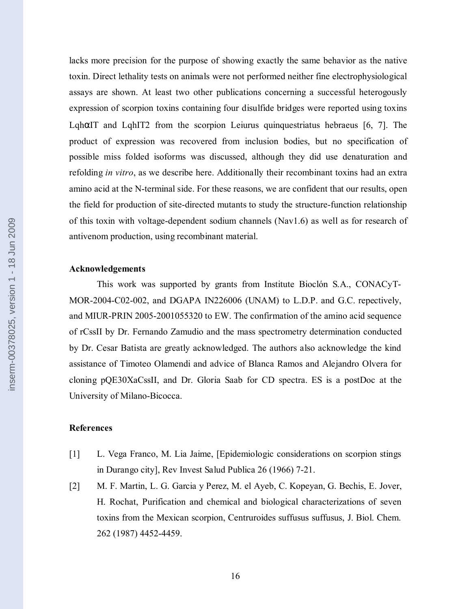lacks more precision for the purpose of showing exactly the same behavior as the native toxin. Direct lethality tests on animals were not performed neither fine electrophysiological assays are shown. At least two other publications concerning a successful heterogously expression of scorpion toxins containing four disulfide bridges were reported using toxins LqhαIT and LqhIT2 from the scorpion Leiurus quinquestriatus hebraeus [6, 7]. The product of expression was recovered from inclusion bodies, but no specification of possible miss folded isoforms was discussed, although they did use denaturation and refolding *in vitro*, as we describe here. Additionally their recombinant toxins had an extra amino acid at the N-terminal side. For these reasons, we are confident that our results, open the field for production of site-directed mutants to study the structure-function relationship of this toxin with voltage-dependent sodium channels (Nav1.6) as well as for research of antivenom production, using recombinant material.

#### **Acknowledgements**

This work was supported by grants from Institute Bioclón S.A., CONACyT-MOR-2004-C02-002, and DGAPA IN226006 (UNAM) to L.D.P. and G.C. repectively, and MIUR-PRIN 2005-2001055320 to EW. The confirmation of the amino acid sequence of rCssII by Dr. Fernando Zamudio and the mass spectrometry determination conducted by Dr. Cesar Batista are greatly acknowledged. The authors also acknowledge the kind assistance of Timoteo Olamendi and advice of Blanca Ramos and Alejandro Olvera for cloning pQE30XaCssII, and Dr. Gloria Saab for CD spectra. ES is a postDoc at the University of Milano-Bicocca.

#### **References**

- [1] L. Vega Franco, M. Lia Jaime, [Epidemiologic considerations on scorpion stings in Durango city], Rev Invest Salud Publica 26 (1966) 7-21.
- [2] M. F. Martin, L. G. Garcia y Perez, M. el Ayeb, C. Kopeyan, G. Bechis, E. Jover, H. Rochat, Purification and chemical and biological characterizations of seven toxins from the Mexican scorpion, Centruroides suffusus suffusus, J. Biol. Chem. 262 (1987) 4452-4459.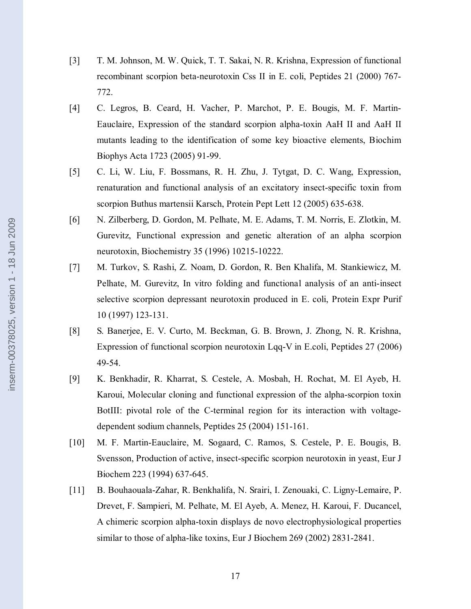- [3] T. M. Johnson, M. W. Quick, T. T. Sakai, N. R. Krishna, Expression of functional recombinant scorpion beta-neurotoxin Css II in E. coli, Peptides 21 (2000) 767- 772.
- [4] C. Legros, B. Ceard, H. Vacher, P. Marchot, P. E. Bougis, M. F. Martin-Eauclaire, Expression of the standard scorpion alpha-toxin AaH II and AaH II mutants leading to the identification of some key bioactive elements, Biochim Biophys Acta 1723 (2005) 91-99.
- [5] C. Li, W. Liu, F. Bossmans, R. H. Zhu, J. Tytgat, D. C. Wang, Expression, renaturation and functional analysis of an excitatory insect-specific toxin from scorpion Buthus martensii Karsch, Protein Pept Lett 12 (2005) 635-638.
- [6] N. Zilberberg, D. Gordon, M. Pelhate, M. E. Adams, T. M. Norris, E. Zlotkin, M. Gurevitz, Functional expression and genetic alteration of an alpha scorpion neurotoxin, Biochemistry 35 (1996) 10215-10222.
- [7] M. Turkov, S. Rashi, Z. Noam, D. Gordon, R. Ben Khalifa, M. Stankiewicz, M. Pelhate, M. Gurevitz, In vitro folding and functional analysis of an anti-insect selective scorpion depressant neurotoxin produced in E. coli, Protein Expr Purif 10 (1997) 123-131.
- [8] S. Banerjee, E. V. Curto, M. Beckman, G. B. Brown, J. Zhong, N. R. Krishna, Expression of functional scorpion neurotoxin Lqq-V in E.coli, Peptides 27 (2006) 49-54.
- [9] K. Benkhadir, R. Kharrat, S. Cestele, A. Mosbah, H. Rochat, M. El Ayeb, H. Karoui, Molecular cloning and functional expression of the alpha-scorpion toxin BotIII: pivotal role of the C-terminal region for its interaction with voltagedependent sodium channels, Peptides 25 (2004) 151-161.
- [10] M. F. Martin-Eauclaire, M. Sogaard, C. Ramos, S. Cestele, P. E. Bougis, B. Svensson, Production of active, insect-specific scorpion neurotoxin in yeast, Eur J Biochem 223 (1994) 637-645.
- [11] B. Bouhaouala-Zahar, R. Benkhalifa, N. Srairi, I. Zenouaki, C. Ligny-Lemaire, P. Drevet, F. Sampieri, M. Pelhate, M. El Ayeb, A. Menez, H. Karoui, F. Ducancel, A chimeric scorpion alpha-toxin displays de novo electrophysiological properties similar to those of alpha-like toxins, Eur J Biochem 269 (2002) 2831-2841.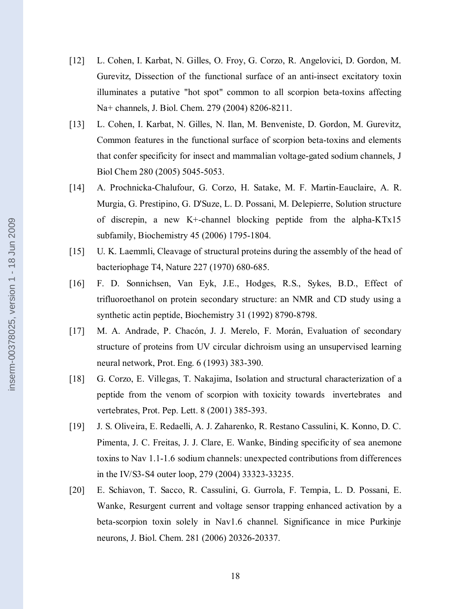- [12] L. Cohen, I. Karbat, N. Gilles, O. Froy, G. Corzo, R. Angelovici, D. Gordon, M. Gurevitz, Dissection of the functional surface of an anti-insect excitatory toxin illuminates a putative "hot spot" common to all scorpion beta-toxins affecting Na+ channels, J. Biol. Chem. 279 (2004) 8206-8211.
- [13] L. Cohen, I. Karbat, N. Gilles, N. Ilan, M. Benveniste, D. Gordon, M. Gurevitz, Common features in the functional surface of scorpion beta-toxins and elements that confer specificity for insect and mammalian voltage-gated sodium channels, J Biol Chem 280 (2005) 5045-5053.
- [14] A. Prochnicka-Chalufour, G. Corzo, H. Satake, M. F. Martin-Eauclaire, A. R. Murgia, G. Prestipino, G. D'Suze, L. D. Possani, M. Delepierre, Solution structure of discrepin, a new K+-channel blocking peptide from the alpha-KTx15 subfamily, Biochemistry 45 (2006) 1795-1804.
- [15] U. K. Laemmli, Cleavage of structural proteins during the assembly of the head of bacteriophage T4, Nature 227 (1970) 680-685.
- [16] F. D. Sonnichsen, Van Eyk, J.E., Hodges, R.S., Sykes, B.D., Effect of trifluoroethanol on protein secondary structure: an NMR and CD study using a synthetic actin peptide, Biochemistry 31 (1992) 8790-8798.
- [17] M. A. Andrade, P. Chacón, J. J. Merelo, F. Morán, Evaluation of secondary structure of proteins from UV circular dichroism using an unsupervised learning neural network, Prot. Eng. 6 (1993) 383-390.
- [18] G. Corzo, E. Villegas, T. Nakajima, Isolation and structural characterization of a peptide from the venom of scorpion with toxicity towards invertebrates and vertebrates, Prot. Pep. Lett. 8 (2001) 385-393.
- [19] J. S. Oliveira, E. Redaelli, A. J. Zaharenko, R. Restano Cassulini, K. Konno, D. C. Pimenta, J. C. Freitas, J. J. Clare, E. Wanke, Binding specificity of sea anemone toxins to Nav 1.1-1.6 sodium channels: unexpected contributions from differences in the IV/S3-S4 outer loop, 279 (2004) 33323-33235.
- [20] E. Schiavon, T. Sacco, R. Cassulini, G. Gurrola, F. Tempia, L. D. Possani, E. Wanke, Resurgent current and voltage sensor trapping enhanced activation by a beta-scorpion toxin solely in Nav1.6 channel. Significance in mice Purkinje neurons, J. Biol. Chem. 281 (2006) 20326-20337.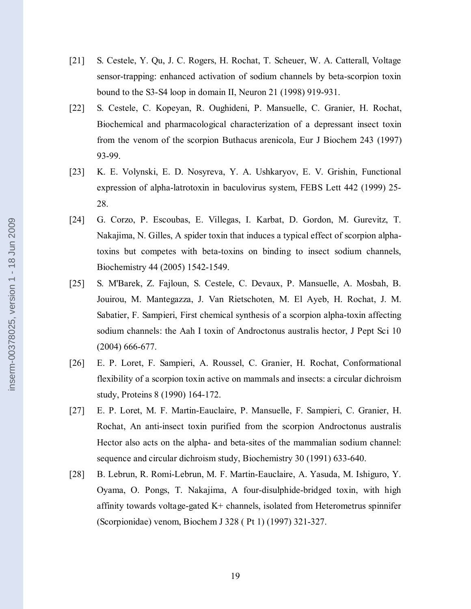- [21] S. Cestele, Y. Qu, J. C. Rogers, H. Rochat, T. Scheuer, W. A. Catterall, Voltage sensor-trapping: enhanced activation of sodium channels by beta-scorpion toxin bound to the S3-S4 loop in domain II, Neuron 21 (1998) 919-931.
- [22] S. Cestele, C. Kopeyan, R. Oughideni, P. Mansuelle, C. Granier, H. Rochat, Biochemical and pharmacological characterization of a depressant insect toxin from the venom of the scorpion Buthacus arenicola, Eur J Biochem 243 (1997) 93-99.
- [23] K. E. Volynski, E. D. Nosyreva, Y. A. Ushkaryov, E. V. Grishin, Functional expression of alpha-latrotoxin in baculovirus system, FEBS Lett 442 (1999) 25- 28.
- [24] G. Corzo, P. Escoubas, E. Villegas, I. Karbat, D. Gordon, M. Gurevitz, T. Nakajima, N. Gilles, A spider toxin that induces a typical effect of scorpion alphatoxins but competes with beta-toxins on binding to insect sodium channels, Biochemistry 44 (2005) 1542-1549.
- [25] S. M'Barek, Z. Fajloun, S. Cestele, C. Devaux, P. Mansuelle, A. Mosbah, B. Jouirou, M. Mantegazza, J. Van Rietschoten, M. El Ayeb, H. Rochat, J. M. Sabatier, F. Sampieri, First chemical synthesis of a scorpion alpha-toxin affecting sodium channels: the Aah I toxin of Androctonus australis hector, J Pept Sci 10 (2004) 666-677.
- [26] E. P. Loret, F. Sampieri, A. Roussel, C. Granier, H. Rochat, Conformational flexibility of a scorpion toxin active on mammals and insects: a circular dichroism study, Proteins 8 (1990) 164-172.
- [27] E. P. Loret, M. F. Martin-Eauclaire, P. Mansuelle, F. Sampieri, C. Granier, H. Rochat, An anti-insect toxin purified from the scorpion Androctonus australis Hector also acts on the alpha- and beta-sites of the mammalian sodium channel: sequence and circular dichroism study, Biochemistry 30 (1991) 633-640.
- [28] B. Lebrun, R. Romi-Lebrun, M. F. Martin-Eauclaire, A. Yasuda, M. Ishiguro, Y. Oyama, O. Pongs, T. Nakajima, A four-disulphide-bridged toxin, with high affinity towards voltage-gated K+ channels, isolated from Heterometrus spinnifer (Scorpionidae) venom, Biochem J 328 ( Pt 1) (1997) 321-327.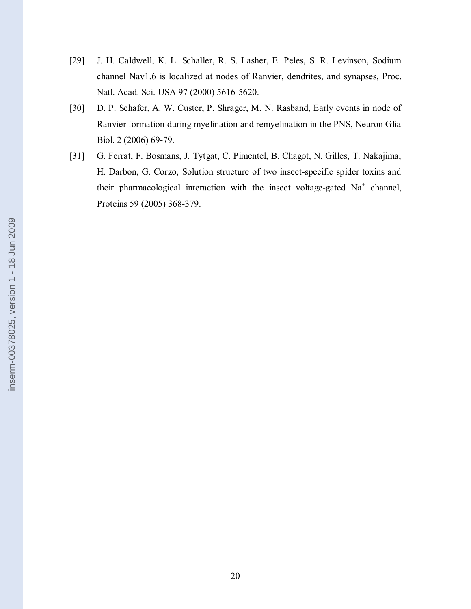- [29] J. H. Caldwell, K. L. Schaller, R. S. Lasher, E. Peles, S. R. Levinson, Sodium channel Nav1.6 is localized at nodes of Ranvier, dendrites, and synapses, Proc. Natl. Acad. Sci. USA 97 (2000) 5616-5620.
- [30] D. P. Schafer, A. W. Custer, P. Shrager, M. N. Rasband, Early events in node of Ranvier formation during myelination and remyelination in the PNS, Neuron Glia Biol. 2 (2006) 69-79.
- [31] G. Ferrat, F. Bosmans, J. Tytgat, C. Pimentel, B. Chagot, N. Gilles, T. Nakajima, H. Darbon, G. Corzo, Solution structure of two insect-specific spider toxins and their pharmacological interaction with the insect voltage-gated  $Na<sup>+</sup>$  channel, Proteins 59 (2005) 368-379.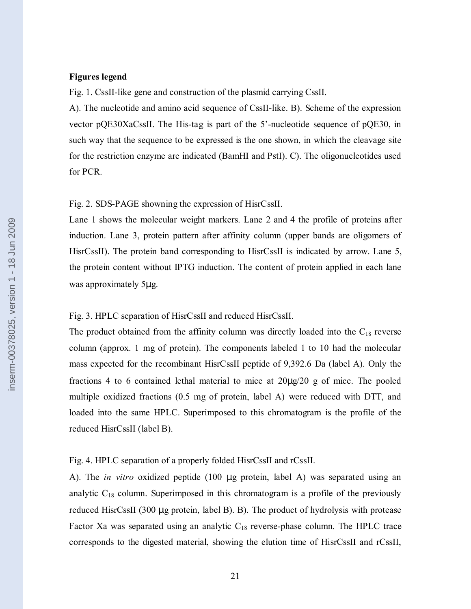#### **Figures legend**

Fig. 1. CssII-like gene and construction of the plasmid carrying CssII.

A). The nucleotide and amino acid sequence of CssII-like. B). Scheme of the expression vector pQE30XaCssII. The His-tag is part of the 5'-nucleotide sequence of pQE30, in such way that the sequence to be expressed is the one shown, in which the cleavage site for the restriction enzyme are indicated (BamHI and PstI). C). The oligonucleotides used for PCR.

Fig. 2. SDS-PAGE showning the expression of HisrCssII.

Lane 1 shows the molecular weight markers. Lane 2 and 4 the profile of proteins after induction. Lane 3, protein pattern after affinity column (upper bands are oligomers of HisrCssII). The protein band corresponding to HisrCssII is indicated by arrow. Lane 5, the protein content without IPTG induction. The content of protein applied in each lane was approximately 5µg.

Fig. 3. HPLC separation of HisrCssII and reduced HisrCssII.

The product obtained from the affinity column was directly loaded into the  $C_{18}$  reverse column (approx. 1 mg of protein). The components labeled 1 to 10 had the molecular mass expected for the recombinant HisrCssII peptide of 9,392.6 Da (label A). Only the fractions 4 to 6 contained lethal material to mice at 20µg/20 g of mice. The pooled multiple oxidized fractions (0.5 mg of protein, label A) were reduced with DTT, and loaded into the same HPLC. Superimposed to this chromatogram is the profile of the reduced HisrCssII (label B).

Fig. 4. HPLC separation of a properly folded HisrCssII and rCssII.

A). The *in vitro* oxidized peptide (100 µg protein, label A) was separated using an analytic  $C_{18}$  column. Superimposed in this chromatogram is a profile of the previously reduced HisrCssII (300 µg protein, label B). B). The product of hydrolysis with protease Factor Xa was separated using an analytic  $C_{18}$  reverse-phase column. The HPLC trace corresponds to the digested material, showing the elution time of HisrCssII and rCssII,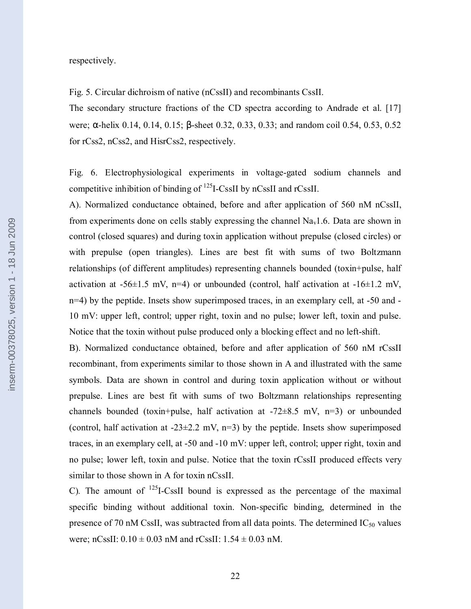respectively.

Fig. 5. Circular dichroism of native (nCssII) and recombinants CssII.

The secondary structure fractions of the CD spectra according to Andrade et al. [17] were; α-helix 0.14, 0.14, 0.15; β-sheet 0.32, 0.33, 0.33; and random coil 0.54, 0.53, 0.52 for rCss2, nCss2, and HisrCss2, respectively.

Fig. 6. Electrophysiological experiments in voltage-gated sodium channels and competitive inhibition of binding of 125I-CssII by nCssII and rCssII.

A). Normalized conductance obtained, before and after application of 560 nM nCssII, from experiments done on cells stably expressing the channel  $Na<sub>v</sub>1.6$ . Data are shown in control (closed squares) and during toxin application without prepulse (closed circles) or with prepulse (open triangles). Lines are best fit with sums of two Boltzmann relationships (of different amplitudes) representing channels bounded (toxin+pulse, half activation at  $-56\pm1.5$  mV, n=4) or unbounded (control, half activation at  $-16\pm1.2$  mV, n=4) by the peptide. Insets show superimposed traces, in an exemplary cell, at -50 and - 10 mV: upper left, control; upper right, toxin and no pulse; lower left, toxin and pulse. Notice that the toxin without pulse produced only a blocking effect and no left-shift.

B). Normalized conductance obtained, before and after application of 560 nM rCssII recombinant, from experiments similar to those shown in A and illustrated with the same symbols. Data are shown in control and during toxin application without or without prepulse. Lines are best fit with sums of two Boltzmann relationships representing channels bounded (toxin+pulse, half activation at  $-72\pm8.5$  mV, n=3) or unbounded (control, half activation at  $-23\pm 2.2$  mV, n=3) by the peptide. Insets show superimposed traces, in an exemplary cell, at -50 and -10 mV: upper left, control; upper right, toxin and no pulse; lower left, toxin and pulse. Notice that the toxin rCssII produced effects very similar to those shown in A for toxin nCssII.

C). The amount of  $^{125}$ I-CssII bound is expressed as the percentage of the maximal specific binding without additional toxin. Non-specific binding, determined in the presence of 70 nM CssII, was subtracted from all data points. The determined  $IC_{50}$  values were; nCssII:  $0.10 \pm 0.03$  nM and rCssII:  $1.54 \pm 0.03$  nM.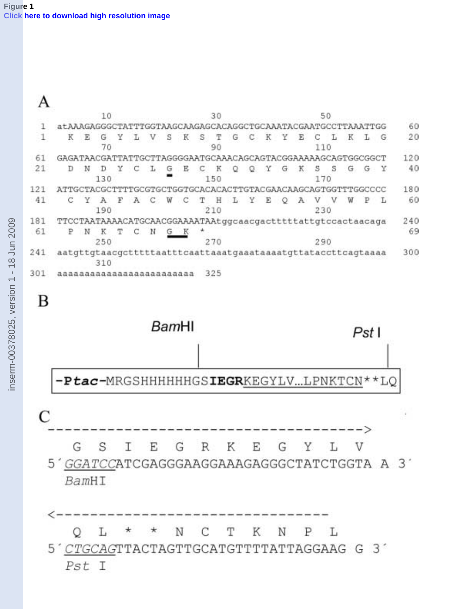A

|                                                              | 10                                                           |                                                              |     |  |  |   | 30  |     |   |     |   |     | 50 |     |     |     |     |   |   |    |    |  |
|--------------------------------------------------------------|--------------------------------------------------------------|--------------------------------------------------------------|-----|--|--|---|-----|-----|---|-----|---|-----|----|-----|-----|-----|-----|---|---|----|----|--|
| atAAAGAGGGCTATTTGGTAAGCAAGAGCACAGGCTGCAAATACGAATGCCTTAAATTGG |                                                              |                                                              |     |  |  |   |     |     |   |     |   |     |    |     |     |     |     |   |   | 60 |    |  |
|                                                              | К                                                            | Ε                                                            | G   |  |  | V | s   | к   | s |     | G |     | К  |     | Ε   |     |     |   |   | G  | 20 |  |
|                                                              |                                                              |                                                              | 70  |  |  |   |     |     |   | 90  |   |     |    |     |     | 110 |     |   |   |    |    |  |
| 61                                                           | GAGATAACGATTATTGCTTAGGGGAATGCAAACAGCAGTACGGAAAAAGCAGTGGCGGCT |                                                              |     |  |  |   |     |     |   |     |   |     |    |     | 120 |     |     |   |   |    |    |  |
| 21                                                           | D                                                            | N                                                            | D   |  |  |   | G   | Ε   |   | К   |   |     | Y  | G   | К   | s   | s   | G | G |    | 40 |  |
|                                                              | 130<br>150<br>170                                            |                                                              |     |  |  |   |     |     |   |     |   |     |    |     |     |     |     |   |   |    |    |  |
| 121                                                          | ATTGCTACGCTTTTGCGTGCTGGTGCACACACTTGTACGAACAAGCAGTGGTTTGGCCCC |                                                              |     |  |  |   |     |     |   |     |   |     |    |     | 180 |     |     |   |   |    |    |  |
| 41                                                           |                                                              |                                                              | А   |  |  |   | W   |     |   | н   |   |     |    |     |     |     |     |   |   |    | 60 |  |
|                                                              | 190                                                          |                                                              |     |  |  |   | 210 |     |   |     |   | 230 |    |     |     |     |     |   |   |    |    |  |
| 181                                                          | TTCCTAATAAAACATGCAACGGAAAATAAtggcaacgactttttattgtccactaacaga |                                                              |     |  |  |   |     |     |   |     |   |     |    |     | 240 |     |     |   |   |    |    |  |
| 61                                                           | Ν<br>Ν<br>К                                                  |                                                              |     |  |  |   |     | G K |   |     |   |     |    |     |     |     |     |   |   |    |    |  |
|                                                              | 250                                                          |                                                              |     |  |  |   |     | 270 |   |     |   |     |    | 290 |     |     |     |   |   |    |    |  |
| 241                                                          |                                                              | aatgttgtaacgctttttaatttcaattaaatgaaataaaatgttataccttcagtaaaa |     |  |  |   |     |     |   |     |   |     |    |     |     |     | 300 |   |   |    |    |  |
|                                                              |                                                              |                                                              | 310 |  |  |   |     |     |   |     |   |     |    |     |     |     |     |   |   |    |    |  |
| 301                                                          | aaaaaaaaaaaaaaaaaaaaaaaaa                                    |                                                              |     |  |  |   |     |     |   | 325 |   |     |    |     |     |     |     |   |   |    |    |  |





inserm-00378025, version 1 - 18 Jun 2009 inserm-00378025, version 1 - 18 Jun 2009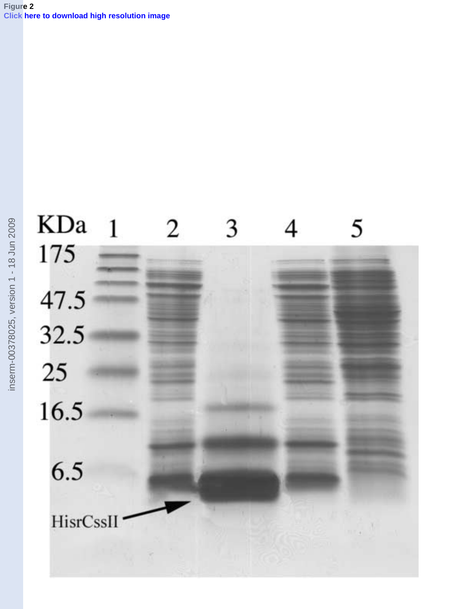# KDa 1 2 5 3 175 47.5 32.5 25 16.5  $6.5$ HisrCssII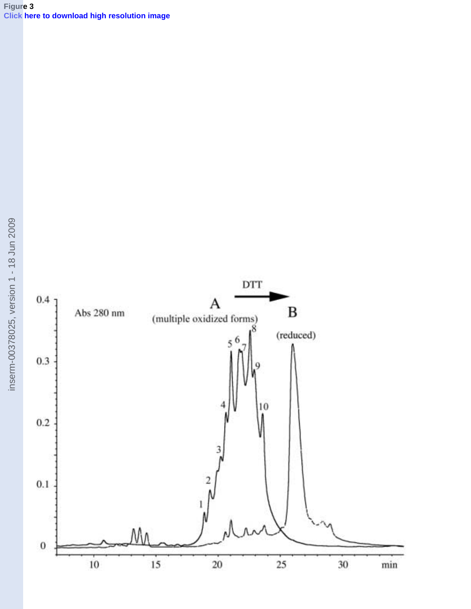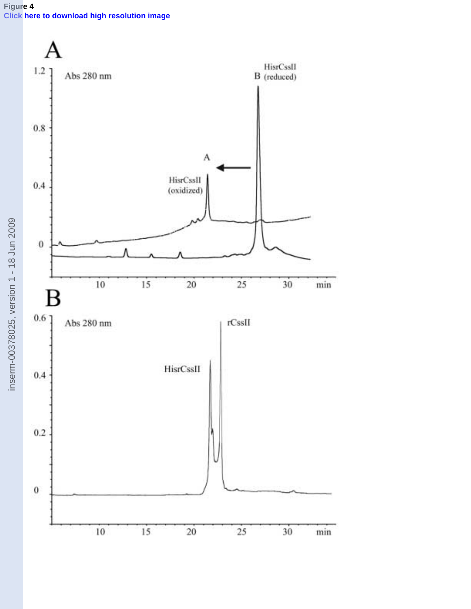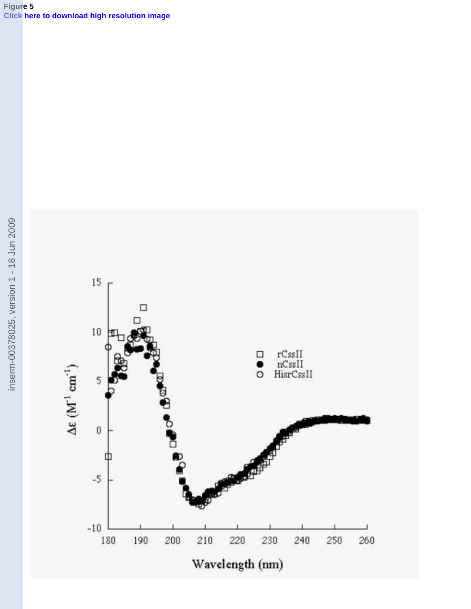#### **Figure 5 [Click here to download high resolution image](http://ees.elsevier.com/bbagen/download.aspx?id=55441&guid=7254fc95-a733-45a4-b23f-a40b691d86ff&scheme=1)**